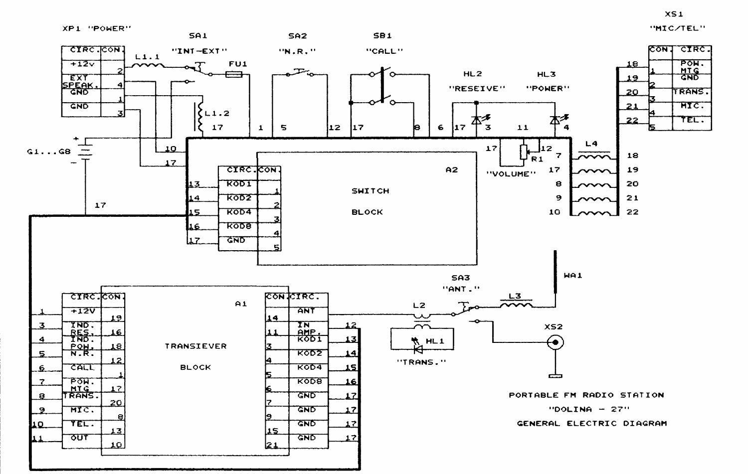



 $XS1$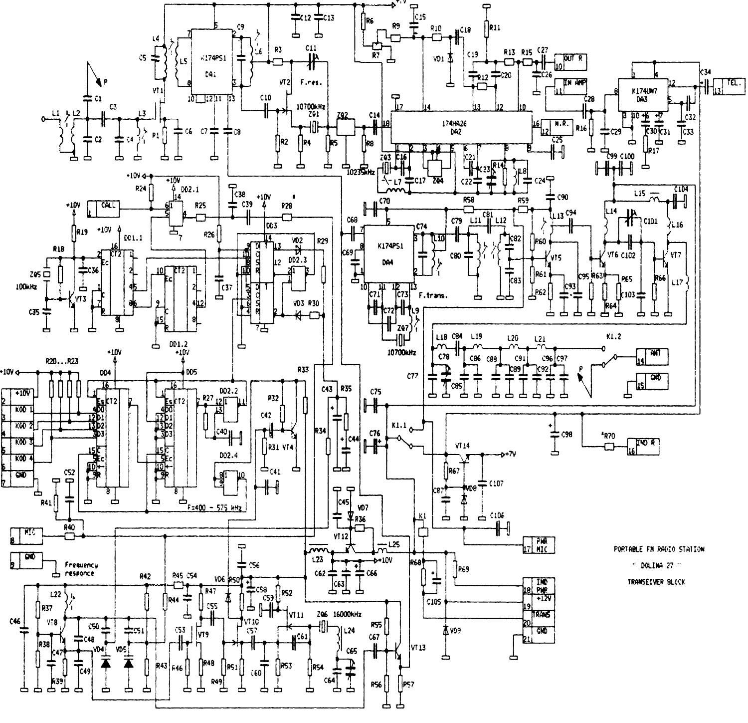